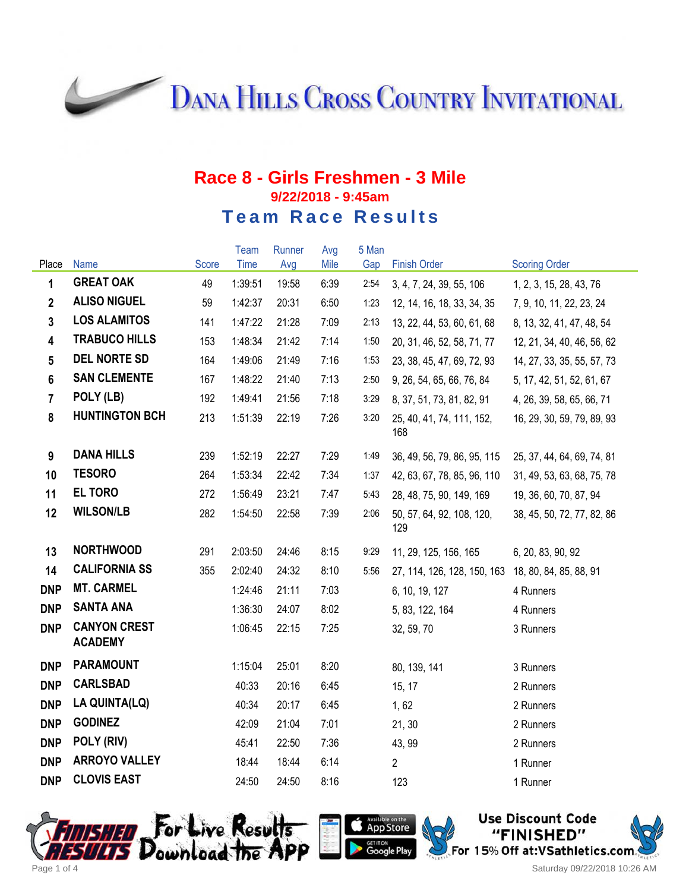**DANA HILLS CROSS COUNTRY INVITATIONAL** 

## **Race 8 - Girls Freshmen - 3 Mile 9/22/2018 - 9:45am Team Race Results**

|                 |                                       |       | <b>Team</b> | Runner | Avg  | 5 Man |                                  |                            |
|-----------------|---------------------------------------|-------|-------------|--------|------|-------|----------------------------------|----------------------------|
| Place           | <b>Name</b>                           | Score | Time        | Avg    | Mile | Gap   | <b>Finish Order</b>              | <b>Scoring Order</b>       |
| 1               | <b>GREAT OAK</b>                      | 49    | 1:39:51     | 19:58  | 6:39 | 2:54  | 3, 4, 7, 24, 39, 55, 106         | 1, 2, 3, 15, 28, 43, 76    |
| $\overline{2}$  | <b>ALISO NIGUEL</b>                   | 59    | 1:42:37     | 20:31  | 6:50 | 1:23  | 12, 14, 16, 18, 33, 34, 35       | 7, 9, 10, 11, 22, 23, 24   |
| $\mathbf{3}$    | <b>LOS ALAMITOS</b>                   | 141   | 1:47:22     | 21:28  | 7:09 | 2:13  | 13, 22, 44, 53, 60, 61, 68       | 8, 13, 32, 41, 47, 48, 54  |
| $\overline{4}$  | <b>TRABUCO HILLS</b>                  | 153   | 1:48:34     | 21:42  | 7:14 | 1:50  | 20, 31, 46, 52, 58, 71, 77       | 12, 21, 34, 40, 46, 56, 62 |
| $5\phantom{.0}$ | <b>DEL NORTE SD</b>                   | 164   | 1:49:06     | 21:49  | 7:16 | 1:53  | 23, 38, 45, 47, 69, 72, 93       | 14, 27, 33, 35, 55, 57, 73 |
| $6\phantom{a}$  | <b>SAN CLEMENTE</b>                   | 167   | 1:48:22     | 21:40  | 7:13 | 2:50  | 9, 26, 54, 65, 66, 76, 84        | 5, 17, 42, 51, 52, 61, 67  |
| $\overline{7}$  | POLY (LB)                             | 192   | 1:49:41     | 21:56  | 7:18 | 3:29  | 8, 37, 51, 73, 81, 82, 91        | 4, 26, 39, 58, 65, 66, 71  |
| 8               | <b>HUNTINGTON BCH</b>                 | 213   | 1:51:39     | 22:19  | 7:26 | 3:20  | 25, 40, 41, 74, 111, 152,<br>168 | 16, 29, 30, 59, 79, 89, 93 |
| 9               | <b>DANA HILLS</b>                     | 239   | 1:52:19     | 22:27  | 7:29 | 1:49  | 36, 49, 56, 79, 86, 95, 115      | 25, 37, 44, 64, 69, 74, 81 |
| 10              | <b>TESORO</b>                         | 264   | 1:53:34     | 22:42  | 7:34 | 1:37  | 42, 63, 67, 78, 85, 96, 110      | 31, 49, 53, 63, 68, 75, 78 |
| 11              | <b>EL TORO</b>                        | 272   | 1:56:49     | 23:21  | 7:47 | 5:43  | 28, 48, 75, 90, 149, 169         | 19, 36, 60, 70, 87, 94     |
| 12              | <b>WILSON/LB</b>                      | 282   | 1:54:50     | 22:58  | 7:39 | 2:06  | 50, 57, 64, 92, 108, 120,<br>129 | 38, 45, 50, 72, 77, 82, 86 |
| 13              | <b>NORTHWOOD</b>                      | 291   | 2:03:50     | 24:46  | 8:15 | 9:29  | 11, 29, 125, 156, 165            | 6, 20, 83, 90, 92          |
| 14              | <b>CALIFORNIA SS</b>                  | 355   | 2:02:40     | 24:32  | 8:10 | 5:56  | 27, 114, 126, 128, 150, 163      | 18, 80, 84, 85, 88, 91     |
| <b>DNP</b>      | <b>MT. CARMEL</b>                     |       | 1:24:46     | 21:11  | 7:03 |       | 6, 10, 19, 127                   | 4 Runners                  |
| <b>DNP</b>      | <b>SANTA ANA</b>                      |       | 1:36:30     | 24:07  | 8:02 |       | 5, 83, 122, 164                  | 4 Runners                  |
| <b>DNP</b>      | <b>CANYON CREST</b><br><b>ACADEMY</b> |       | 1:06:45     | 22:15  | 7:25 |       | 32, 59, 70                       | 3 Runners                  |
| <b>DNP</b>      | <b>PARAMOUNT</b>                      |       | 1:15:04     | 25:01  | 8:20 |       | 80, 139, 141                     | 3 Runners                  |
| <b>DNP</b>      | <b>CARLSBAD</b>                       |       | 40:33       | 20:16  | 6:45 |       | 15, 17                           | 2 Runners                  |
| <b>DNP</b>      | LA QUINTA(LQ)                         |       | 40:34       | 20:17  | 6:45 |       | 1,62                             | 2 Runners                  |
| <b>DNP</b>      | <b>GODINEZ</b>                        |       | 42:09       | 21:04  | 7:01 |       | 21, 30                           | 2 Runners                  |
| <b>DNP</b>      | POLY (RIV)                            |       | 45:41       | 22:50  | 7:36 |       | 43, 99                           | 2 Runners                  |
| <b>DNP</b>      | <b>ARROYO VALLEY</b>                  |       | 18:44       | 18:44  | 6:14 |       | $\overline{2}$                   | 1 Runner                   |
| <b>DNP</b>      | <b>CLOVIS EAST</b>                    |       | 24:50       | 24:50  | 8:16 |       | 123                              | 1 Runner                   |





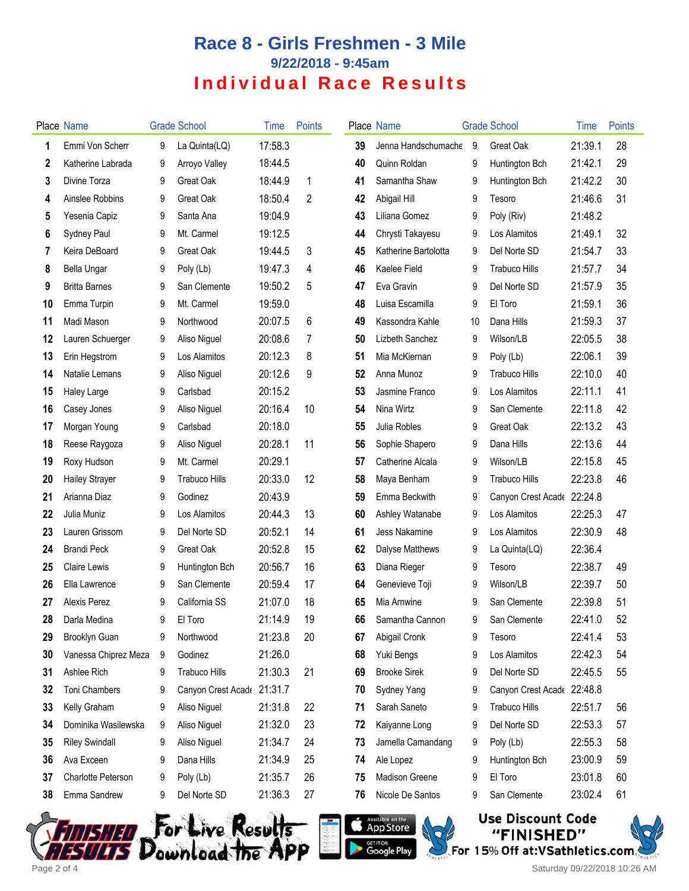## **Race 8 - Girls Freshmen - 3 Mile 9/22/2018 - 9:45am Individual Race Results**

|    | Place Name            |   | <b>Grade School</b>        | Time    | Points |    | Place Name           |    | <b>Grade School</b>  | Time    | Points |
|----|-----------------------|---|----------------------------|---------|--------|----|----------------------|----|----------------------|---------|--------|
| 1  | Emmi Von Scherr       | 9 | La Quinta(LQ)              | 17:58.3 |        | 39 | Jenna Handschumache  | -9 | Great Oak            | 21:39.1 | 28     |
| 2  | Katherine Labrada     | 9 | Arroyo Valley              | 18:44.5 |        | 40 | Quinn Roldan         | 9  | Huntington Bch       | 21:42.1 | 29     |
| 3  | Divine Torza          | 9 | Great Oak                  | 18:44.9 | 1      | 41 | Samantha Shaw        | 9  | Huntington Bch       | 21:42.2 | 30     |
| 4  | Ainslee Robbins       | 9 | <b>Great Oak</b>           | 18:50.4 | 2      | 42 | Abigail Hill         | 9  | Tesoro               | 21:46.6 | 31     |
| 5  | Yesenia Capiz         | 9 | Santa Ana                  | 19:04.9 |        | 43 | Liliana Gomez        | 9  | Poly (Riv)           | 21:48.2 |        |
| 6  | Sydney Paul           | 9 | Mt. Carmel                 | 19:12.5 |        | 44 | Chrysti Takayesu     | 9  | Los Alamitos         | 21:49.1 | 32     |
| 7  | Keira DeBoard         | 9 | Great Oak                  | 19:44.5 | 3      | 45 | Katherine Bartolotta | 9  | Del Norte SD         | 21:54.7 | 33     |
| 8  | Bella Ungar           | 9 | Poly (Lb)                  | 19:47.3 | 4      | 46 | Kaelee Field         | 9  | <b>Trabuco Hills</b> | 21:57.7 | 34     |
| 9  | <b>Britta Barnes</b>  | 9 | San Clemente               | 19:50.2 | 5      | 47 | Eva Gravin           | 9  | Del Norte SD         | 21:57.9 | 35     |
| 10 | Emma Turpin           | 9 | Mt. Carmel                 | 19:59.0 |        | 48 | Luisa Escamilla      | 9  | El Toro              | 21:59.1 | 36     |
| 11 | Madi Mason            | 9 | Northwood                  | 20:07.5 | 6      | 49 | Kassondra Kahle      | 10 | Dana Hills           | 21:59.3 | 37     |
| 12 | Lauren Schuerger      | 9 | Aliso Niguel               | 20:08.6 | 7      | 50 | Lizbeth Sanchez      | 9  | Wilson/LB            | 22:05.5 | 38     |
| 13 | Erin Hegstrom         | 9 | Los Alamitos               | 20:12.3 | 8      | 51 | Mia McKiernan        | 9  | Poly (Lb)            | 22:06.1 | 39     |
| 14 | Natalie Lemans        | 9 | Aliso Niguel               | 20:12.6 | 9      | 52 | Anna Munoz           | 9  | Trabuco Hills        | 22:10.0 | 40     |
| 15 | Haley Large           | 9 | Carlsbad                   | 20:15.2 |        | 53 | Jasmine Franco       | 9  | Los Alamitos         | 22:11.1 | 41     |
| 16 | Casey Jones           | 9 | Aliso Niguel               | 20:16.4 | 10     | 54 | Nina Wirtz           | 9  | San Clemente         | 22:11.8 | 42     |
| 17 | Morgan Young          | 9 | Carlsbad                   | 20:18.0 |        | 55 | Julia Robles         | 9  | Great Oak            | 22:13.2 | 43     |
| 18 | Reese Raygoza         | 9 | Aliso Niguel               | 20:28.1 | 11     | 56 | Sophie Shapero       | 9  | Dana Hills           | 22:13.6 | 44     |
| 19 | Roxy Hudson           | 9 | Mt. Carmel                 | 20:29.1 |        | 57 | Catherine Alcala     | 9  | Wilson/LB            | 22:15.8 | 45     |
| 20 | <b>Hailey Strayer</b> | 9 | <b>Trabuco Hills</b>       | 20:33.0 | 12     | 58 | Maya Benham          | 9  | <b>Trabuco Hills</b> | 22:23.8 | 46     |
| 21 | Arianna Diaz          | 9 | Godinez                    | 20:43.9 |        | 59 | Emma Beckwith        | 9  | Canyon Crest Acade   | 22:24.8 |        |
| 22 | Julia Muniz           | 9 | Los Alamitos               | 20:44.3 | 13     | 60 | Ashley Watanabe      | 9  | Los Alamitos         | 22:25.3 | 47     |
| 23 | Lauren Grissom        | 9 | Del Norte SD               | 20:52.1 | 14     | 61 | Jess Nakamine        | 9  | Los Alamitos         | 22:30.9 | 48     |
| 24 | <b>Brandi Peck</b>    | 9 | Great Oak                  | 20:52.8 | 15     | 62 | Dalyse Matthews      | 9  | La Quinta(LQ)        | 22:36.4 |        |
| 25 | <b>Claire Lewis</b>   | 9 | Huntington Bch             | 20:56.7 | 16     | 63 | Diana Rieger         | 9  | Tesoro               | 22:38.7 | 49     |
| 26 | Ella Lawrence         | 9 | San Clemente               | 20:59.4 | 17     | 64 | Genevieve Toji       | 9  | Wilson/LB            | 22:39.7 | 50     |
| 27 | Alexis Perez          | 9 | California SS              | 21:07.0 | 18     | 65 | Mia Arnwine          | 9  | San Clemente         | 22:39.8 | 51     |
| 28 | Darla Medina          | 9 | El Toro                    | 21:14.9 | 19     | 66 | Samantha Cannon      | 9  | San Clemente         | 22:41.0 | 52     |
| 29 | Brooklyn Guan         | 9 | Northwood                  | 21:23.8 | 20     | 67 | Abigail Cronk        | 9  | Tesoro               | 22:41.4 | 53     |
| 30 | Vanessa Chiprez Meza  | 9 | Godinez                    | 21:26.0 |        | 68 | Yuki Bengs           | 9  | Los Alamitos         | 22:42.3 | 54     |
| 31 | Ashlee Rich           | 9 | <b>Trabuco Hills</b>       | 21:30.3 | 21     | 69 | <b>Brooke Sirek</b>  | 9  | Del Norte SD         | 22:45.5 | 55     |
| 32 | Toni Chambers         | 9 | Canyon Crest Acade 21:31.7 |         |        | 70 | Sydney Yang          | 9  | Canyon Crest Acade   | 22:48.8 |        |
| 33 | Kelly Graham          | 9 | Aliso Niguel               | 21:31.8 | 22     | 71 | Sarah Saneto         | 9  | <b>Trabuco Hills</b> | 22:51.7 | 56     |
| 34 | Dominika Wasilewska   | 9 | Aliso Niguel               | 21:32.0 | 23     | 72 | Kaiyanne Long        | 9  | Del Norte SD         | 22:53.3 | 57     |
| 35 | <b>Riley Swindall</b> | 9 | Aliso Niguel               | 21:34.7 | 24     | 73 | Jamella Camandang    | 9  | Poly (Lb)            | 22:55.3 | 58     |
| 36 | Ava Exceen            | 9 | Dana Hills                 | 21:34.9 | 25     | 74 | Ale Lopez            | 9  | Huntington Bch       | 23:00.9 | 59     |
| 37 | Charlotte Peterson    | 9 | Poly (Lb)                  | 21:35.7 | 26     | 75 | Madison Greene       | 9  | El Toro              | 23:01.8 | 60     |
| 38 | Emma Sandrew          | 9 | Del Norte SD               | 21:36.3 | 27     | 76 | Nicole De Santos     | 9  | San Clemente         | 23:02.4 | 61     |







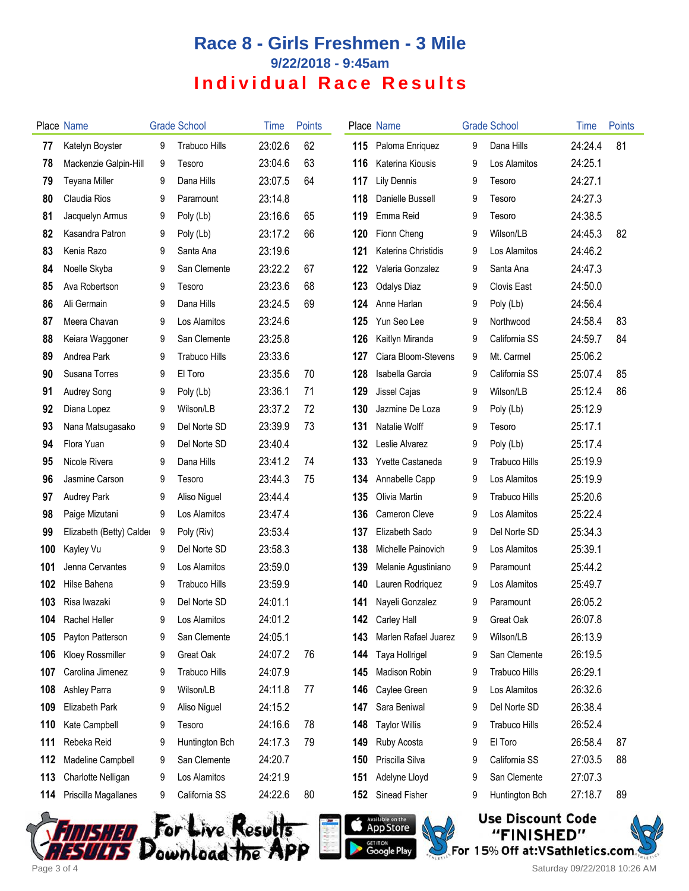## **Race 8 - Girls Freshmen - 3 Mile 9/22/2018 - 9:45am Individual Race Results**

|     | Place Name               |   | <b>Grade School</b>  | Time    | <b>Points</b> |     | Place Name           |   | <b>Grade School</b>  | Time    | <b>Points</b> |
|-----|--------------------------|---|----------------------|---------|---------------|-----|----------------------|---|----------------------|---------|---------------|
| 77  | Katelyn Boyster          | 9 | <b>Trabuco Hills</b> | 23:02.6 | 62            | 115 | Paloma Enriquez      | 9 | Dana Hills           | 24:24.4 | 81            |
| 78  | Mackenzie Galpin-Hill    | 9 | Tesoro               | 23:04.6 | 63            | 116 | Katerina Kiousis     | 9 | Los Alamitos         | 24:25.1 |               |
| 79  | <b>Teyana Miller</b>     | 9 | Dana Hills           | 23:07.5 | 64            | 117 | <b>Lily Dennis</b>   | 9 | Tesoro               | 24:27.1 |               |
| 80  | Claudia Rios             | 9 | Paramount            | 23:14.8 |               | 118 | Danielle Bussell     | 9 | Tesoro               | 24:27.3 |               |
| 81  | Jacquelyn Armus          | 9 | Poly (Lb)            | 23:16.6 | 65            | 119 | Emma Reid            | 9 | Tesoro               | 24:38.5 |               |
| 82  | Kasandra Patron          | 9 | Poly (Lb)            | 23:17.2 | 66            | 120 | Fionn Cheng          | 9 | Wilson/LB            | 24:45.3 | 82            |
| 83  | Kenia Razo               | 9 | Santa Ana            | 23:19.6 |               | 121 | Katerina Christidis  | 9 | Los Alamitos         | 24:46.2 |               |
| 84  | Noelle Skyba             | 9 | San Clemente         | 23:22.2 | 67            | 122 | Valeria Gonzalez     | 9 | Santa Ana            | 24:47.3 |               |
| 85  | Ava Robertson            | 9 | Tesoro               | 23:23.6 | 68            | 123 | <b>Odalys Diaz</b>   | 9 | Clovis East          | 24:50.0 |               |
| 86  | Ali Germain              | 9 | Dana Hills           | 23:24.5 | 69            | 124 | Anne Harlan          | 9 | Poly (Lb)            | 24:56.4 |               |
| 87  | Meera Chavan             | 9 | Los Alamitos         | 23:24.6 |               | 125 | Yun Seo Lee          | 9 | Northwood            | 24:58.4 | 83            |
| 88  | Keiara Waggoner          | 9 | San Clemente         | 23:25.8 |               | 126 | Kaitlyn Miranda      | 9 | California SS        | 24:59.7 | 84            |
| 89  | Andrea Park              | 9 | <b>Trabuco Hills</b> | 23:33.6 |               | 127 | Ciara Bloom-Stevens  | 9 | Mt. Carmel           | 25:06.2 |               |
| 90  | Susana Torres            | 9 | El Toro              | 23:35.6 | 70            | 128 | Isabella Garcia      | 9 | California SS        | 25:07.4 | 85            |
| 91  | Audrey Song              | 9 | Poly (Lb)            | 23:36.1 | 71            | 129 | Jissel Cajas         | 9 | Wilson/LB            | 25:12.4 | 86            |
| 92  | Diana Lopez              | 9 | Wilson/LB            | 23:37.2 | 72            | 130 | Jazmine De Loza      | 9 | Poly (Lb)            | 25:12.9 |               |
| 93  | Nana Matsugasako         | 9 | Del Norte SD         | 23:39.9 | 73            | 131 | Natalie Wolff        | 9 | Tesoro               | 25:17.1 |               |
| 94  | Flora Yuan               | 9 | Del Norte SD         | 23:40.4 |               | 132 | Leslie Alvarez       | 9 | Poly (Lb)            | 25:17.4 |               |
| 95  | Nicole Rivera            | 9 | Dana Hills           | 23:41.2 | 74            | 133 | Yvette Castaneda     | 9 | <b>Trabuco Hills</b> | 25:19.9 |               |
| 96  | Jasmine Carson           | 9 | Tesoro               | 23:44.3 | 75            | 134 | Annabelle Capp       | 9 | Los Alamitos         | 25:19.9 |               |
| 97  | <b>Audrey Park</b>       | 9 | Aliso Niguel         | 23:44.4 |               | 135 | Olivia Martin        | 9 | <b>Trabuco Hills</b> | 25:20.6 |               |
| 98  | Paige Mizutani           | 9 | Los Alamitos         | 23:47.4 |               | 136 | Cameron Cleve        | 9 | Los Alamitos         | 25:22.4 |               |
| 99  | Elizabeth (Betty) Calder | 9 | Poly (Riv)           | 23:53.4 |               | 137 | Elizabeth Sado       | 9 | Del Norte SD         | 25:34.3 |               |
| 100 | Kayley Vu                | 9 | Del Norte SD         | 23:58.3 |               | 138 | Michelle Painovich   | 9 | Los Alamitos         | 25:39.1 |               |
| 101 | Jenna Cervantes          | 9 | Los Alamitos         | 23:59.0 |               | 139 | Melanie Agustiniano  | 9 | Paramount            | 25:44.2 |               |
| 102 | Hilse Bahena             | 9 | <b>Trabuco Hills</b> | 23:59.9 |               | 140 | Lauren Rodriquez     | 9 | Los Alamitos         | 25:49.7 |               |
| 103 | Risa Iwazaki             | 9 | Del Norte SD         | 24:01.1 |               | 141 | Nayeli Gonzalez      | 9 | Paramount            | 26:05.2 |               |
| 104 | Rachel Heller            | 9 | Los Alamitos         | 24:01.2 |               | 142 | <b>Carley Hall</b>   | 9 | Great Oak            | 26:07.8 |               |
| 105 | Payton Patterson         | 9 | San Clemente         | 24:05.1 |               | 143 | Marlen Rafael Juarez | 9 | Wilson/LB            | 26:13.9 |               |
| 106 | Kloey Rossmiller         | 9 | Great Oak            | 24:07.2 | 76            | 144 | Taya Hollrigel       | 9 | San Clemente         | 26:19.5 |               |
| 107 | Carolina Jimenez         | 9 | <b>Trabuco Hills</b> | 24:07.9 |               | 145 | Madison Robin        | 9 | <b>Trabuco Hills</b> | 26:29.1 |               |
| 108 | Ashley Parra             | 9 | Wilson/LB            | 24:11.8 | 77            | 146 | Caylee Green         | 9 | Los Alamitos         | 26:32.6 |               |
| 109 | Elizabeth Park           | 9 | Aliso Niguel         | 24:15.2 |               | 147 | Sara Beniwal         | 9 | Del Norte SD         | 26:38.4 |               |
| 110 | Kate Campbell            | 9 | Tesoro               | 24:16.6 | 78            | 148 | <b>Taylor Willis</b> | 9 | <b>Trabuco Hills</b> | 26:52.4 |               |
| 111 | Rebeka Reid              | 9 | Huntington Bch       | 24:17.3 | 79            | 149 | Ruby Acosta          | 9 | El Toro              | 26:58.4 | 87            |
| 112 | Madeline Campbell        | 9 | San Clemente         | 24:20.7 |               | 150 | Priscilla Silva      | 9 | California SS        | 27:03.5 | 88            |
| 113 | Charlotte Nelligan       | 9 | Los Alamitos         | 24:21.9 |               | 151 | Adelyne Lloyd        | 9 | San Clemente         | 27:07.3 |               |
| 114 | Priscilla Magallanes     | 9 | California SS        | 24:22.6 | 80            | 152 | Sinead Fisher        | 9 | Huntington Bch       | 27:18.7 | 89            |
|     |                          |   |                      |         |               |     |                      |   |                      |         |               |